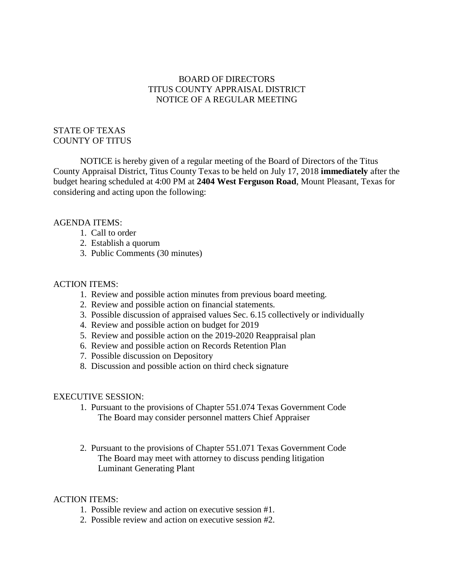# BOARD OF DIRECTORS TITUS COUNTY APPRAISAL DISTRICT NOTICE OF A REGULAR MEETING

## STATE OF TEXAS COUNTY OF TITUS

NOTICE is hereby given of a regular meeting of the Board of Directors of the Titus County Appraisal District, Titus County Texas to be held on July 17, 2018 **immediately** after the budget hearing scheduled at 4:00 PM at **2404 West Ferguson Road**, Mount Pleasant, Texas for considering and acting upon the following:

## AGENDA ITEMS:

- 1. Call to order
- 2. Establish a quorum
- 3. Public Comments (30 minutes)

### ACTION ITEMS:

- 1. Review and possible action minutes from previous board meeting.
- 2. Review and possible action on financial statements.
- 3. Possible discussion of appraised values Sec. 6.15 collectively or individually
- 4. Review and possible action on budget for 2019
- 5. Review and possible action on the 2019-2020 Reappraisal plan
- 6. Review and possible action on Records Retention Plan
- 7. Possible discussion on Depository
- 8. Discussion and possible action on third check signature

#### EXECUTIVE SESSION:

- 1. Pursuant to the provisions of Chapter 551.074 Texas Government Code The Board may consider personnel matters Chief Appraiser
- 2. Pursuant to the provisions of Chapter 551.071 Texas Government Code The Board may meet with attorney to discuss pending litigation Luminant Generating Plant

### ACTION ITEMS:

- 1. Possible review and action on executive session #1.
- 2. Possible review and action on executive session #2.